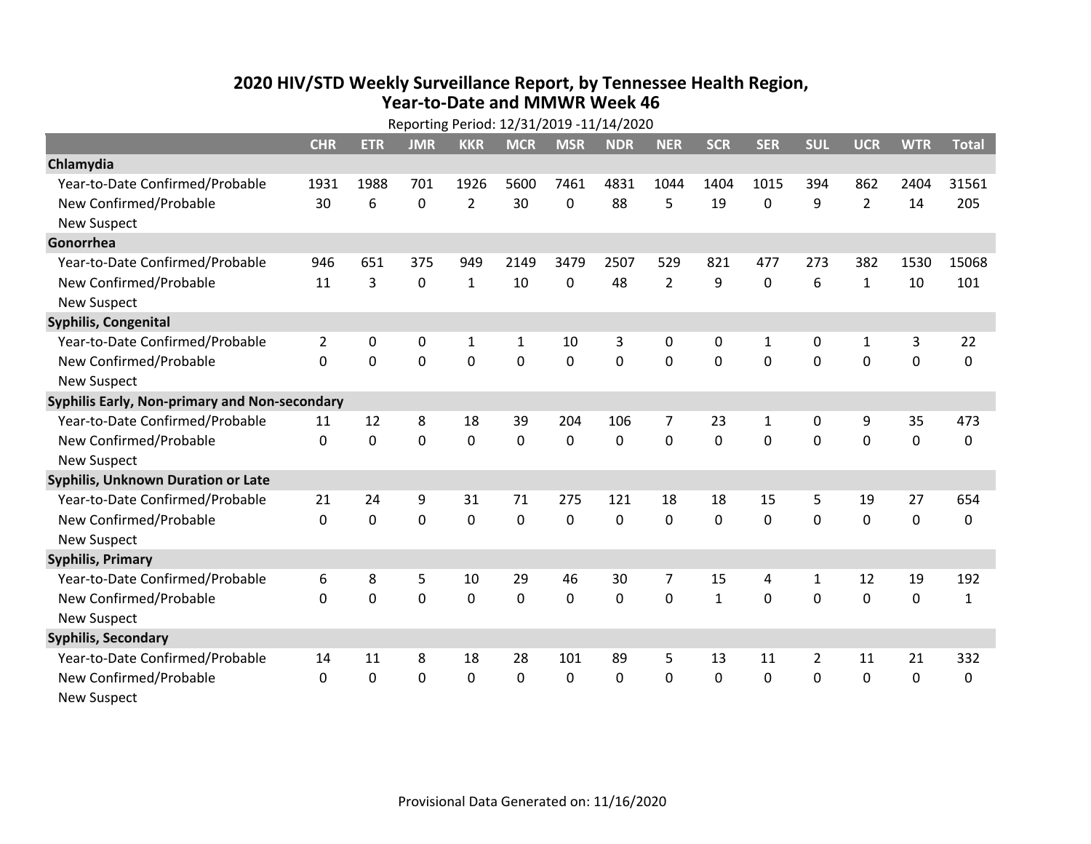## **2020 HIV /STD Weekly Surveillance Report, by Tennessee Health Region, Year‐to‐Date and MMWR Week 46** Reporting Period: 12/31/2019 ‐11/14/2020

|                                               | Reporting Period: 12/31/2019 -11/14/2020 |              |                |                |              |             |            |                |              |              |                |                |             |              |
|-----------------------------------------------|------------------------------------------|--------------|----------------|----------------|--------------|-------------|------------|----------------|--------------|--------------|----------------|----------------|-------------|--------------|
|                                               | <b>CHR</b>                               | <b>ETR</b>   | <b>JMR</b>     | <b>KKR</b>     | <b>MCR</b>   | <b>MSR</b>  | <b>NDR</b> | <b>NER</b>     | <b>SCR</b>   | <b>SER</b>   | <b>SUL</b>     | <b>UCR</b>     | <b>WTR</b>  | <b>Total</b> |
| Chlamydia                                     |                                          |              |                |                |              |             |            |                |              |              |                |                |             |              |
| Year-to-Date Confirmed/Probable               | 1931                                     | 1988         | 701            | 1926           | 5600         | 7461        | 4831       | 1044           | 1404         | 1015         | 394            | 862            | 2404        | 31561        |
| New Confirmed/Probable                        | 30                                       | 6            | $\Omega$       | $\overline{2}$ | 30           | 0           | 88         | 5              | 19           | 0            | 9              | $\overline{2}$ | 14          | 205          |
| <b>New Suspect</b>                            |                                          |              |                |                |              |             |            |                |              |              |                |                |             |              |
| Gonorrhea                                     |                                          |              |                |                |              |             |            |                |              |              |                |                |             |              |
| Year-to-Date Confirmed/Probable               | 946                                      | 651          | 375            | 949            | 2149         | 3479        | 2507       | 529            | 821          | 477          | 273            | 382            | 1530        | 15068        |
| New Confirmed/Probable                        | 11                                       | 3            | $\mathbf 0$    | $\mathbf{1}$   | 10           | 0           | 48         | $\overline{2}$ | 9            | 0            | 6              | $\mathbf{1}$   | 10          | 101          |
| <b>New Suspect</b>                            |                                          |              |                |                |              |             |            |                |              |              |                |                |             |              |
| <b>Syphilis, Congenital</b>                   |                                          |              |                |                |              |             |            |                |              |              |                |                |             |              |
| Year-to-Date Confirmed/Probable               | $\overline{2}$                           | 0            | 0              | $\mathbf{1}$   | 1            | 10          | 3          | 0              | 0            | 1            | 0              | $\mathbf{1}$   | 3           | 22           |
| New Confirmed/Probable                        | $\Omega$                                 | $\mathbf 0$  | $\overline{0}$ | $\mathbf 0$    | $\mathbf 0$  | $\mathbf 0$ | 0          | $\Omega$       | 0            | $\mathbf 0$  | $\mathbf 0$    | $\mathbf 0$    | $\mathbf 0$ | $\mathbf 0$  |
| <b>New Suspect</b>                            |                                          |              |                |                |              |             |            |                |              |              |                |                |             |              |
| Syphilis Early, Non-primary and Non-secondary |                                          |              |                |                |              |             |            |                |              |              |                |                |             |              |
| Year-to-Date Confirmed/Probable               | 11                                       | 12           | 8              | 18             | 39           | 204         | 106        | $\overline{7}$ | 23           | $\mathbf{1}$ | 0              | 9              | 35          | 473          |
| New Confirmed/Probable                        | $\Omega$                                 | 0            | $\mathbf 0$    | $\mathbf 0$    | $\mathbf 0$  | 0           | 0          | $\Omega$       | $\Omega$     | 0            | $\mathbf 0$    | $\mathbf 0$    | $\mathbf 0$ | 0            |
| <b>New Suspect</b>                            |                                          |              |                |                |              |             |            |                |              |              |                |                |             |              |
| <b>Syphilis, Unknown Duration or Late</b>     |                                          |              |                |                |              |             |            |                |              |              |                |                |             |              |
| Year-to-Date Confirmed/Probable               | 21                                       | 24           | 9              | 31             | 71           | 275         | 121        | 18             | 18           | 15           | 5              | 19             | 27          | 654          |
| New Confirmed/Probable                        | $\mathbf 0$                              | $\mathbf 0$  | $\mathbf 0$    | $\mathbf 0$    | 0            | 0           | 0          | $\Omega$       | $\Omega$     | $\mathbf 0$  | $\mathbf 0$    | $\mathbf 0$    | $\mathbf 0$ | 0            |
| <b>New Suspect</b>                            |                                          |              |                |                |              |             |            |                |              |              |                |                |             |              |
| <b>Syphilis, Primary</b>                      |                                          |              |                |                |              |             |            |                |              |              |                |                |             |              |
| Year-to-Date Confirmed/Probable               | 6                                        | 8            | 5              | 10             | 29           | 46          | 30         | $\overline{7}$ | 15           | 4            | 1              | 12             | 19          | 192          |
| New Confirmed/Probable                        | $\mathbf 0$                              | 0            | $\mathbf 0$    | $\mathbf 0$    | 0            | 0           | 0          | $\mathbf 0$    | $\mathbf{1}$ | 0            | $\mathbf 0$    | $\mathbf 0$    | $\mathbf 0$ | $\mathbf{1}$ |
| <b>New Suspect</b>                            |                                          |              |                |                |              |             |            |                |              |              |                |                |             |              |
| <b>Syphilis, Secondary</b>                    |                                          |              |                |                |              |             |            |                |              |              |                |                |             |              |
| Year-to-Date Confirmed/Probable               | 14                                       | 11           | 8              | 18             | 28           | 101         | 89         | 5              | 13           | 11           | $\overline{2}$ | 11             | 21          | 332          |
| New Confirmed/Probable                        | $\Omega$                                 | $\mathbf{0}$ | 0              | $\mathbf{0}$   | $\mathbf{0}$ | $\Omega$    | $\Omega$   | $\Omega$       | $\mathbf{0}$ | $\Omega$     | $\Omega$       | 0              | 0           | 0            |
| <b>New Suspect</b>                            |                                          |              |                |                |              |             |            |                |              |              |                |                |             |              |